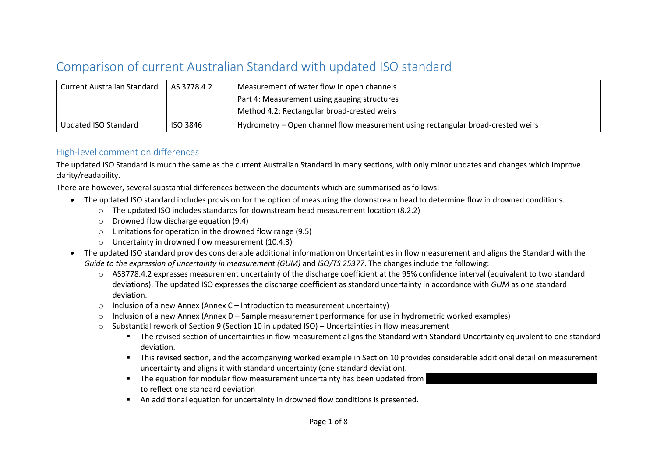## Comparison of current Australian Standard with updated ISO standard

| <b>Current Australian Standard</b> | AS 3778.4.2 | Measurement of water flow in open channels                                       |  |
|------------------------------------|-------------|----------------------------------------------------------------------------------|--|
|                                    |             | Part 4: Measurement using gauging structures                                     |  |
|                                    |             | Method 4.2: Rectangular broad-crested weirs                                      |  |
| Updated ISO Standard               | ISO 3846    | Hydrometry – Open channel flow measurement using rectangular broad-crested weirs |  |

## High-level comment on differences

The updated ISO Standard is much the same as the current Australian Standard in many sections, with only minor updates and changes which improve clarity/readability.

There are however, several substantial differences between the documents which are summarised as follows:

- The updated ISO standard includes provision for the option of measuring the downstream head to determine flow in drowned conditions.
	- o The updated ISO includes standards for downstream head measurement location (8.2.2)
	- $\circ$  Drowned flow discharge equation (9.4)
	- o Limitations for operation in the drowned flow range (9.5)
	- o Uncertainty in drowned flow measurement (10.4.3)
- The updated ISO standard provides considerable additional information on Uncertainties in flow measurement and aligns the Standard with the *Guide to the expression of uncertainty in measurement (GUM)* and *ISO/TS 25377*. The changes include the following:
	- o AS3778.4.2 expresses measurement uncertainty of the discharge coefficient at the 95% confidence interval (equivalent to two standard deviations). The updated ISO expresses the discharge coefficient as standard uncertainty in accordance with *GUM* as one standard deviation.
	- $\circ$  Inclusion of a new Annex (Annex C Introduction to measurement uncertainty)
	- $\circ$  Inclusion of a new Annex (Annex D Sample measurement performance for use in hydrometric worked examples)
	- $\circ$  Substantial rework of Section 9 (Section 10 in updated ISO) Uncertainties in flow measurement
		- The revised section of uncertainties in flow measurement aligns the Standard with Standard Uncertainty equivalent to one standard deviation.
		- This revised section, and the accompanying worked example in Section 10 provides considerable additional detail on measurement uncertainty and aligns it with standard uncertainty (one standard deviation).
		- The equation for modular flow measurement uncertainty has been updated from to reflect one standard deviation
		- An additional equation for uncertainty in drowned flow conditions is presented.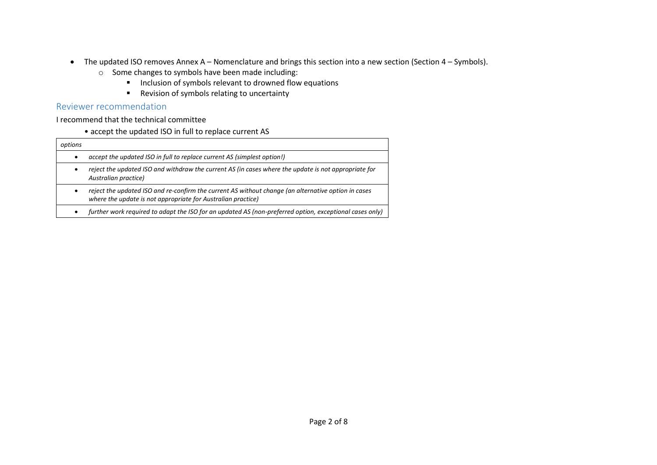- The updated ISO removes Annex A Nomenclature and brings this section into a new section (Section 4 Symbols).
	- o Some changes to symbols have been made including:
		- Inclusion of symbols relevant to drowned flow equations
		- Revision of symbols relating to uncertainty

## Reviewer recommendation

I recommend that the technical committee

• accept the updated ISO in full to replace current AS

| options   |                                                                                                                                                                     |
|-----------|---------------------------------------------------------------------------------------------------------------------------------------------------------------------|
| $\bullet$ | accept the updated ISO in full to replace current AS (simplest option!)                                                                                             |
| ٠         | reject the updated ISO and withdraw the current AS (in cases where the update is not appropriate for<br>Australian practice)                                        |
| ٠         | reject the updated ISO and re-confirm the current AS without change (an alternative option in cases<br>where the update is not appropriate for Australian practice) |
| $\bullet$ | further work required to adapt the ISO for an updated AS (non-preferred option, exceptional cases only)                                                             |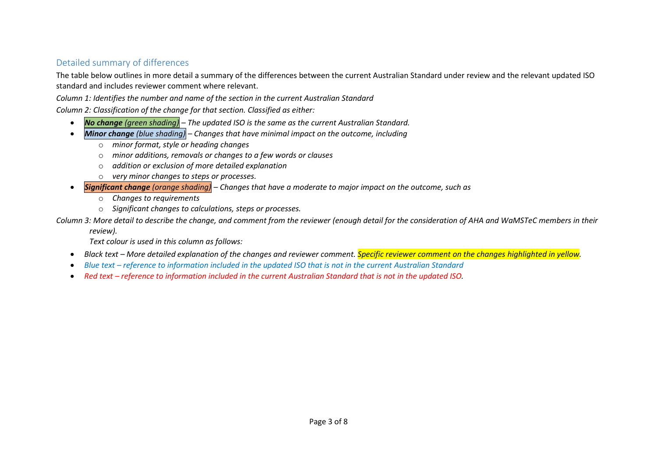## Detailed summary of differences

The table below outlines in more detail a summary of the differences between the current Australian Standard under review and the relevant updated ISO standard and includes reviewer comment where relevant.

*Column 1: Identifies the number and name of the section in the current Australian Standard*

*Column 2: Classification of the change for that section. Classified as either:*

- *No change (green shading) – The updated ISO is the same as the current Australian Standard.*
- *Minor change (blue shading) – Changes that have minimal impact on the outcome, including*
	- o *minor format, style or heading changes*
	- o *minor additions, removals or changes to a few words or clauses*
	- o *addition or exclusion of more detailed explanation*
	- o *very minor changes to steps or processes.*
- *Significant change (orange shading) – Changes that have a moderate to major impact on the outcome, such as*
	- o *Changes to requirements*
	- o *Significant changes to calculations, steps or processes.*

*Column 3: More detail to describe the change, and comment from the reviewer (enough detail for the consideration of AHA and WaMSTeC members in their* 

*review).*

*Text colour is used in this column as follows:*

- *Black text – More detailed explanation of the changes and reviewer comment. Specific reviewer comment on the changes highlighted in yellow.*
- *Blue text – reference to information included in the updated ISO that is not in the current Australian Standard*
- Red text *reference to information included in the current Australian Standard that is not in the updated ISO.*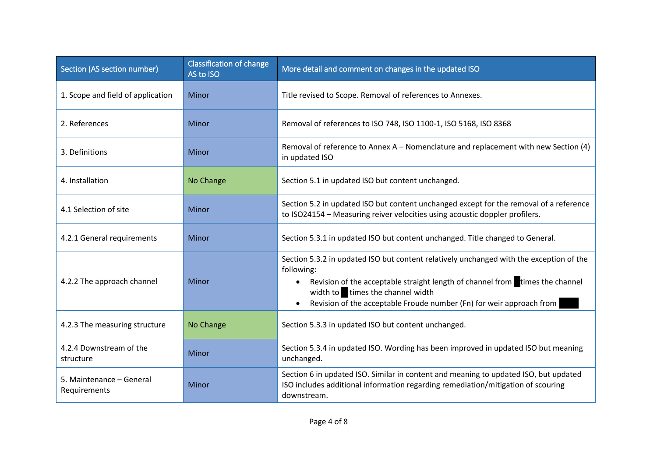| Section (AS section number)              | <b>Classification of change</b><br>AS to ISO | More detail and comment on changes in the updated ISO                                                                                                                                                                                                                                                          |
|------------------------------------------|----------------------------------------------|----------------------------------------------------------------------------------------------------------------------------------------------------------------------------------------------------------------------------------------------------------------------------------------------------------------|
| 1. Scope and field of application        | Minor                                        | Title revised to Scope. Removal of references to Annexes.                                                                                                                                                                                                                                                      |
| 2. References                            | Minor                                        | Removal of references to ISO 748, ISO 1100-1, ISO 5168, ISO 8368                                                                                                                                                                                                                                               |
| 3. Definitions                           | Minor                                        | Removal of reference to Annex A - Nomenclature and replacement with new Section (4)<br>in updated ISO                                                                                                                                                                                                          |
| 4. Installation                          | No Change                                    | Section 5.1 in updated ISO but content unchanged.                                                                                                                                                                                                                                                              |
| 4.1 Selection of site                    | Minor                                        | Section 5.2 in updated ISO but content unchanged except for the removal of a reference<br>to ISO24154 - Measuring reiver velocities using acoustic doppler profilers.                                                                                                                                          |
| 4.2.1 General requirements               | Minor                                        | Section 5.3.1 in updated ISO but content unchanged. Title changed to General.                                                                                                                                                                                                                                  |
| 4.2.2 The approach channel               | Minor                                        | Section 5.3.2 in updated ISO but content relatively unchanged with the exception of the<br>following:<br>Revision of the acceptable straight length of channel from times the channel<br>$\bullet$<br>width to times the channel width<br>Revision of the acceptable Froude number (Fn) for weir approach from |
| 4.2.3 The measuring structure            | No Change                                    | Section 5.3.3 in updated ISO but content unchanged.                                                                                                                                                                                                                                                            |
| 4.2.4 Downstream of the<br>structure     | Minor                                        | Section 5.3.4 in updated ISO. Wording has been improved in updated ISO but meaning<br>unchanged.                                                                                                                                                                                                               |
| 5. Maintenance - General<br>Requirements | Minor                                        | Section 6 in updated ISO. Similar in content and meaning to updated ISO, but updated<br>ISO includes additional information regarding remediation/mitigation of scouring<br>downstream.                                                                                                                        |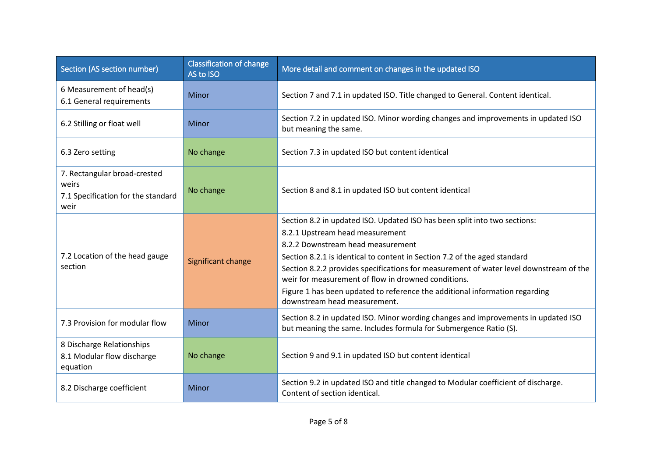| Section (AS section number)                                                         | <b>Classification of change</b><br>AS to ISO | More detail and comment on changes in the updated ISO                                                                                                                                                                                                                                                                                                                                                                                                                                          |
|-------------------------------------------------------------------------------------|----------------------------------------------|------------------------------------------------------------------------------------------------------------------------------------------------------------------------------------------------------------------------------------------------------------------------------------------------------------------------------------------------------------------------------------------------------------------------------------------------------------------------------------------------|
| 6 Measurement of head(s)<br>6.1 General requirements                                | Minor                                        | Section 7 and 7.1 in updated ISO. Title changed to General. Content identical.                                                                                                                                                                                                                                                                                                                                                                                                                 |
| 6.2 Stilling or float well                                                          | Minor                                        | Section 7.2 in updated ISO. Minor wording changes and improvements in updated ISO<br>but meaning the same.                                                                                                                                                                                                                                                                                                                                                                                     |
| 6.3 Zero setting                                                                    | No change                                    | Section 7.3 in updated ISO but content identical                                                                                                                                                                                                                                                                                                                                                                                                                                               |
| 7. Rectangular broad-crested<br>weirs<br>7.1 Specification for the standard<br>weir | No change                                    | Section 8 and 8.1 in updated ISO but content identical                                                                                                                                                                                                                                                                                                                                                                                                                                         |
| 7.2 Location of the head gauge<br>section                                           | Significant change                           | Section 8.2 in updated ISO. Updated ISO has been split into two sections:<br>8.2.1 Upstream head measurement<br>8.2.2 Downstream head measurement<br>Section 8.2.1 is identical to content in Section 7.2 of the aged standard<br>Section 8.2.2 provides specifications for measurement of water level downstream of the<br>weir for measurement of flow in drowned conditions.<br>Figure 1 has been updated to reference the additional information regarding<br>downstream head measurement. |
| 7.3 Provision for modular flow                                                      | Minor                                        | Section 8.2 in updated ISO. Minor wording changes and improvements in updated ISO<br>but meaning the same. Includes formula for Submergence Ratio (S).                                                                                                                                                                                                                                                                                                                                         |
| 8 Discharge Relationships<br>8.1 Modular flow discharge<br>equation                 | No change                                    | Section 9 and 9.1 in updated ISO but content identical                                                                                                                                                                                                                                                                                                                                                                                                                                         |
| 8.2 Discharge coefficient                                                           | Minor                                        | Section 9.2 in updated ISO and title changed to Modular coefficient of discharge.<br>Content of section identical.                                                                                                                                                                                                                                                                                                                                                                             |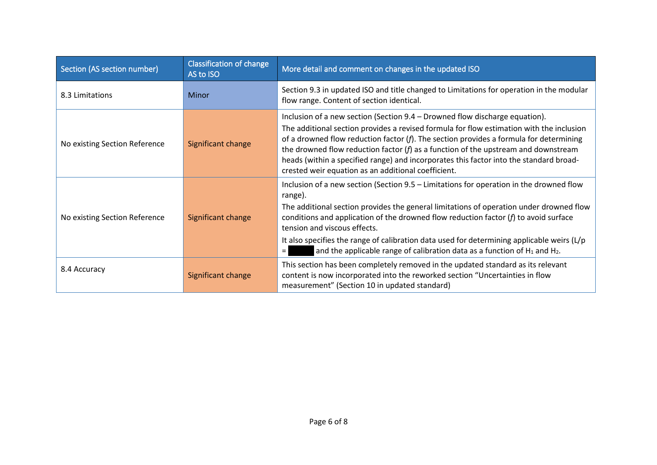| Section (AS section number)   | <b>Classification of change</b><br>AS to ISO | More detail and comment on changes in the updated ISO                                                                                                                                                                                                                                                                                                                                                                                                                                                         |
|-------------------------------|----------------------------------------------|---------------------------------------------------------------------------------------------------------------------------------------------------------------------------------------------------------------------------------------------------------------------------------------------------------------------------------------------------------------------------------------------------------------------------------------------------------------------------------------------------------------|
| 8.3 Limitations               | Minor                                        | Section 9.3 in updated ISO and title changed to Limitations for operation in the modular<br>flow range. Content of section identical.                                                                                                                                                                                                                                                                                                                                                                         |
| No existing Section Reference | Significant change                           | Inclusion of a new section (Section 9.4 – Drowned flow discharge equation).<br>The additional section provides a revised formula for flow estimation with the inclusion<br>of a drowned flow reduction factor $(f)$ . The section provides a formula for determining<br>the drowned flow reduction factor $(f)$ as a function of the upstream and downstream<br>heads (within a specified range) and incorporates this factor into the standard broad-<br>crested weir equation as an additional coefficient. |
| No existing Section Reference | Significant change                           | Inclusion of a new section (Section 9.5 – Limitations for operation in the drowned flow<br>range).<br>The additional section provides the general limitations of operation under drowned flow<br>conditions and application of the drowned flow reduction factor $(f)$ to avoid surface<br>tension and viscous effects.<br>It also specifies the range of calibration data used for determining applicable weirs $(L/p)$<br>and the applicable range of calibration data as a function of $H_1$ and $H_2$ .   |
| 8.4 Accuracy                  | Significant change                           | This section has been completely removed in the updated standard as its relevant<br>content is now incorporated into the reworked section "Uncertainties in flow<br>measurement" (Section 10 in updated standard)                                                                                                                                                                                                                                                                                             |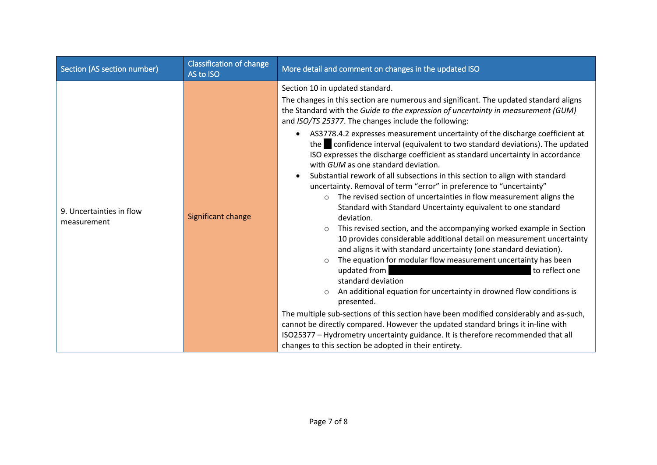| Section (AS section number)             | <b>Classification of change</b><br>AS to ISO | More detail and comment on changes in the updated ISO                                                                                                                                                                                                                                                                                                                                                                                                                                                                                                                                                                                                                                                                                                                                                                                                                                                                                                                                                                                                                                                                                                                                                                                                                                                                                                                                                                                                                                                                                                                                                                                                                                                             |
|-----------------------------------------|----------------------------------------------|-------------------------------------------------------------------------------------------------------------------------------------------------------------------------------------------------------------------------------------------------------------------------------------------------------------------------------------------------------------------------------------------------------------------------------------------------------------------------------------------------------------------------------------------------------------------------------------------------------------------------------------------------------------------------------------------------------------------------------------------------------------------------------------------------------------------------------------------------------------------------------------------------------------------------------------------------------------------------------------------------------------------------------------------------------------------------------------------------------------------------------------------------------------------------------------------------------------------------------------------------------------------------------------------------------------------------------------------------------------------------------------------------------------------------------------------------------------------------------------------------------------------------------------------------------------------------------------------------------------------------------------------------------------------------------------------------------------------|
| 9. Uncertainties in flow<br>measurement | Significant change                           | Section 10 in updated standard.<br>The changes in this section are numerous and significant. The updated standard aligns<br>the Standard with the Guide to the expression of uncertainty in measurement (GUM)<br>and ISO/TS 25377. The changes include the following:<br>AS3778.4.2 expresses measurement uncertainty of the discharge coefficient at<br>$\bullet$<br>the confidence interval (equivalent to two standard deviations). The updated<br>ISO expresses the discharge coefficient as standard uncertainty in accordance<br>with GUM as one standard deviation.<br>Substantial rework of all subsections in this section to align with standard<br>$\bullet$<br>uncertainty. Removal of term "error" in preference to "uncertainty"<br>The revised section of uncertainties in flow measurement aligns the<br>$\circ$<br>Standard with Standard Uncertainty equivalent to one standard<br>deviation.<br>This revised section, and the accompanying worked example in Section<br>$\circ$<br>10 provides considerable additional detail on measurement uncertainty<br>and aligns it with standard uncertainty (one standard deviation).<br>The equation for modular flow measurement uncertainty has been<br>$\circ$<br>updated from<br>to reflect one<br>standard deviation<br>An additional equation for uncertainty in drowned flow conditions is<br>$\circ$<br>presented.<br>The multiple sub-sections of this section have been modified considerably and as-such,<br>cannot be directly compared. However the updated standard brings it in-line with<br>ISO25377 - Hydrometry uncertainty guidance. It is therefore recommended that all<br>changes to this section be adopted in their entirety. |